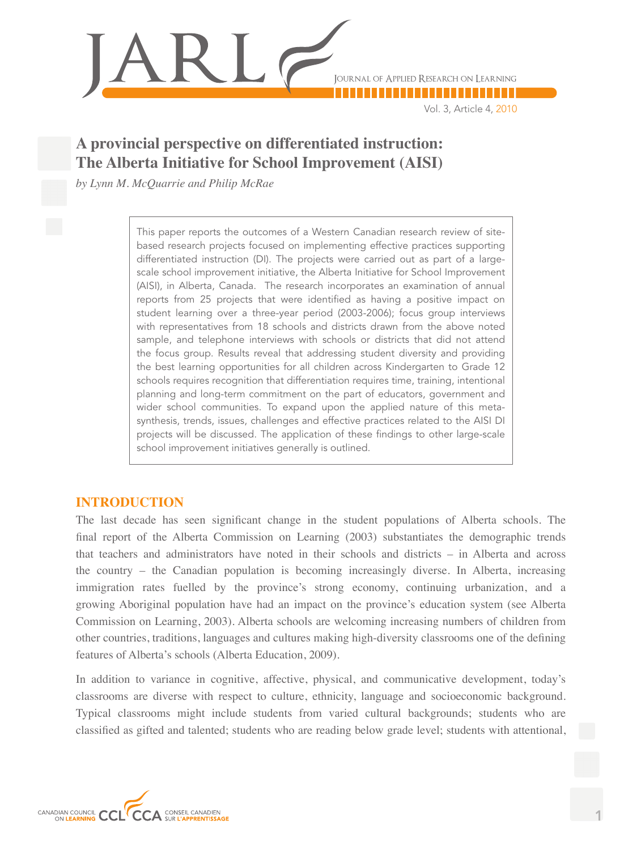

Vol. 3, Article 4, 2010

# **A provincial perspective on differentiated instruction: The Alberta Initiative for School Improvement (AISI)**

*by Lynn M. McQuarrie and Philip McRae*

This paper reports the outcomes of a Western Canadian research review of sitebased research projects focused on implementing effective practices supporting differentiated instruction (DI). The projects were carried out as part of a largescale school improvement initiative, the Alberta Initiative for School Improvement (AISI), in Alberta, Canada. The research incorporates an examination of annual reports from 25 projects that were identified as having a positive impact on student learning over a three-year period (2003-2006); focus group interviews with representatives from 18 schools and districts drawn from the above noted sample, and telephone interviews with schools or districts that did not attend the focus group. Results reveal that addressing student diversity and providing the best learning opportunities for all children across Kindergarten to Grade 12 schools requires recognition that differentiation requires time, training, intentional planning and long-term commitment on the part of educators, government and wider school communities. To expand upon the applied nature of this metasynthesis, trends, issues, challenges and effective practices related to the AISI DI projects will be discussed. The application of these findings to other large-scale school improvement initiatives generally is outlined.

# **INTRODUCTION**

The last decade has seen significant change in the student populations of Alberta schools. The final report of the Alberta Commission on Learning (2003) substantiates the demographic trends that teachers and administrators have noted in their schools and districts – in Alberta and across the country – the Canadian population is becoming increasingly diverse. In Alberta, increasing immigration rates fuelled by the province's strong economy, continuing urbanization, and a growing Aboriginal population have had an impact on the province's education system (see Alberta Commission on Learning, 2003). Alberta schools are welcoming increasing numbers of children from other countries, traditions, languages and cultures making high-diversity classrooms one of the defining features of Alberta's schools (Alberta Education, 2009).

In addition to variance in cognitive, affective, physical, and communicative development, today's classrooms are diverse with respect to culture, ethnicity, language and socioeconomic background. Typical classrooms might include students from varied cultural backgrounds; students who are classified as gifted and talented; students who are reading below grade level; students with attentional,

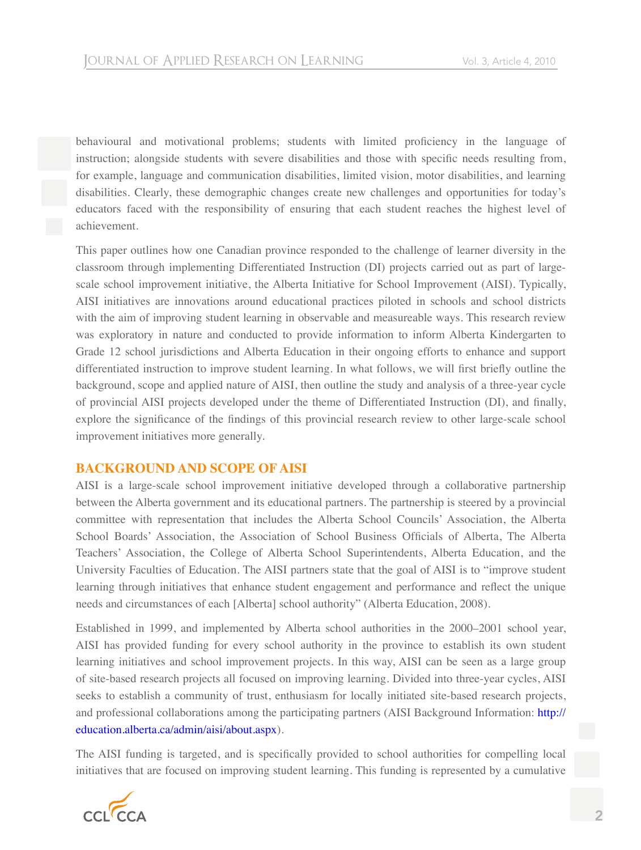behavioural and motivational problems; students with limited proficiency in the language of instruction; alongside students with severe disabilities and those with specific needs resulting from, for example, language and communication disabilities, limited vision, motor disabilities, and learning disabilities. Clearly, these demographic changes create new challenges and opportunities for today's educators faced with the responsibility of ensuring that each student reaches the highest level of achievement.

This paper outlines how one Canadian province responded to the challenge of learner diversity in the classroom through implementing Differentiated Instruction (DI) projects carried out as part of largescale school improvement initiative, the Alberta Initiative for School Improvement (AISI). Typically, AISI initiatives are innovations around educational practices piloted in schools and school districts with the aim of improving student learning in observable and measureable ways. This research review was exploratory in nature and conducted to provide information to inform Alberta Kindergarten to Grade 12 school jurisdictions and Alberta Education in their ongoing efforts to enhance and support differentiated instruction to improve student learning. In what follows, we will first briefly outline the background, scope and applied nature of AISI, then outline the study and analysis of a three-year cycle of provincial AISI projects developed under the theme of Differentiated Instruction (DI), and finally, explore the significance of the findings of this provincial research review to other large-scale school improvement initiatives more generally.

# **BACKGROUND AND SCOPE OF AISI**

AISI is a large-scale school improvement initiative developed through a collaborative partnership between the Alberta government and its educational partners. The partnership is steered by a provincial committee with representation that includes the Alberta School Councils' Association, the Alberta School Boards' Association, the Association of School Business Officials of Alberta, The Alberta Teachers' Association, the College of Alberta School Superintendents, Alberta Education, and the University Faculties of Education. The AISI partners state that the goal of AISI is to "improve student learning through initiatives that enhance student engagement and performance and reflect the unique needs and circumstances of each [Alberta] school authority" (Alberta Education, 2008).

Established in 1999, and implemented by Alberta school authorities in the 2000–2001 school year, AISI has provided funding for every school authority in the province to establish its own student learning initiatives and school improvement projects. In this way, AISI can be seen as a large group of site-based research projects all focused on improving learning. Divided into three-year cycles, AISI seeks to establish a community of trust, enthusiasm for locally initiated site-based research projects, and professional collaborations among the participating partners (AISI Background Information: http:// education.alberta.ca/admin/aisi/about.aspx).

The AISI funding is targeted, and is specifically provided to school authorities for compelling local initiatives that are focused on improving student learning. This funding is represented by a cumulative

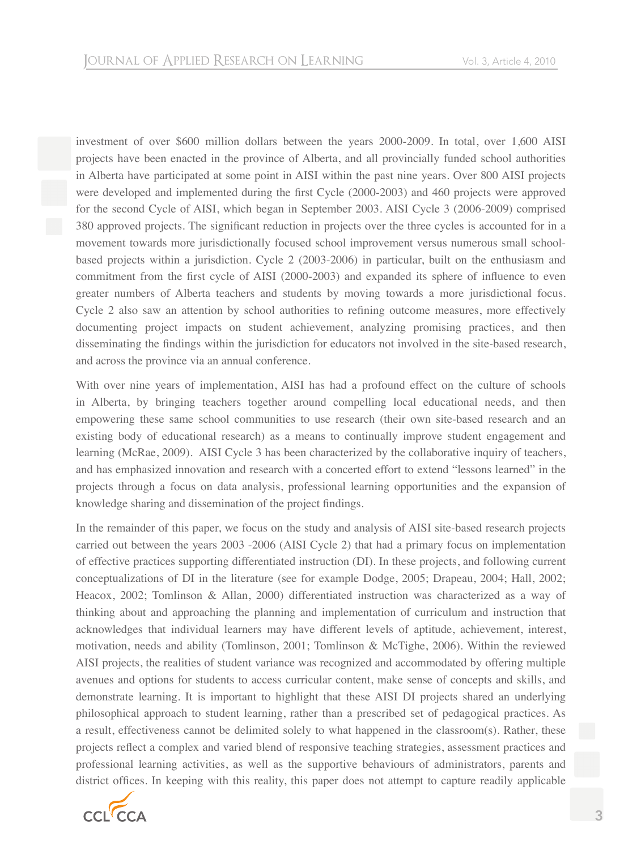investment of over \$600 million dollars between the years 2000-2009. In total, over 1,600 AISI projects have been enacted in the province of Alberta, and all provincially funded school authorities in Alberta have participated at some point in AISI within the past nine years. Over 800 AISI projects were developed and implemented during the first Cycle (2000-2003) and 460 projects were approved for the second Cycle of AISI, which began in September 2003. AISI Cycle 3 (2006-2009) comprised 380 approved projects. The significant reduction in projects over the three cycles is accounted for in a movement towards more jurisdictionally focused school improvement versus numerous small schoolbased projects within a jurisdiction. Cycle 2 (2003-2006) in particular, built on the enthusiasm and commitment from the first cycle of AISI (2000-2003) and expanded its sphere of influence to even greater numbers of Alberta teachers and students by moving towards a more jurisdictional focus. Cycle 2 also saw an attention by school authorities to refining outcome measures, more effectively documenting project impacts on student achievement, analyzing promising practices, and then disseminating the findings within the jurisdiction for educators not involved in the site-based research, and across the province via an annual conference.

With over nine years of implementation, AISI has had a profound effect on the culture of schools in Alberta, by bringing teachers together around compelling local educational needs, and then empowering these same school communities to use research (their own site-based research and an existing body of educational research) as a means to continually improve student engagement and learning (McRae, 2009). AISI Cycle 3 has been characterized by the collaborative inquiry of teachers, and has emphasized innovation and research with a concerted effort to extend "lessons learned" in the projects through a focus on data analysis, professional learning opportunities and the expansion of knowledge sharing and dissemination of the project findings.

In the remainder of this paper, we focus on the study and analysis of AISI site-based research projects carried out between the years 2003 -2006 (AISI Cycle 2) that had a primary focus on implementation of effective practices supporting differentiated instruction (DI). In these projects, and following current conceptualizations of DI in the literature (see for example Dodge, 2005; Drapeau, 2004; Hall, 2002; Heacox, 2002; Tomlinson & Allan, 2000) differentiated instruction was characterized as a way of thinking about and approaching the planning and implementation of curriculum and instruction that acknowledges that individual learners may have different levels of aptitude, achievement, interest, motivation, needs and ability (Tomlinson, 2001; Tomlinson & McTighe, 2006). Within the reviewed AISI projects, the realities of student variance was recognized and accommodated by offering multiple avenues and options for students to access curricular content, make sense of concepts and skills, and demonstrate learning. It is important to highlight that these AISI DI projects shared an underlying philosophical approach to student learning, rather than a prescribed set of pedagogical practices. As a result, effectiveness cannot be delimited solely to what happened in the classroom(s). Rather, these projects reflect a complex and varied blend of responsive teaching strategies, assessment practices and professional learning activities, as well as the supportive behaviours of administrators, parents and district offices. In keeping with this reality, this paper does not attempt to capture readily applicable

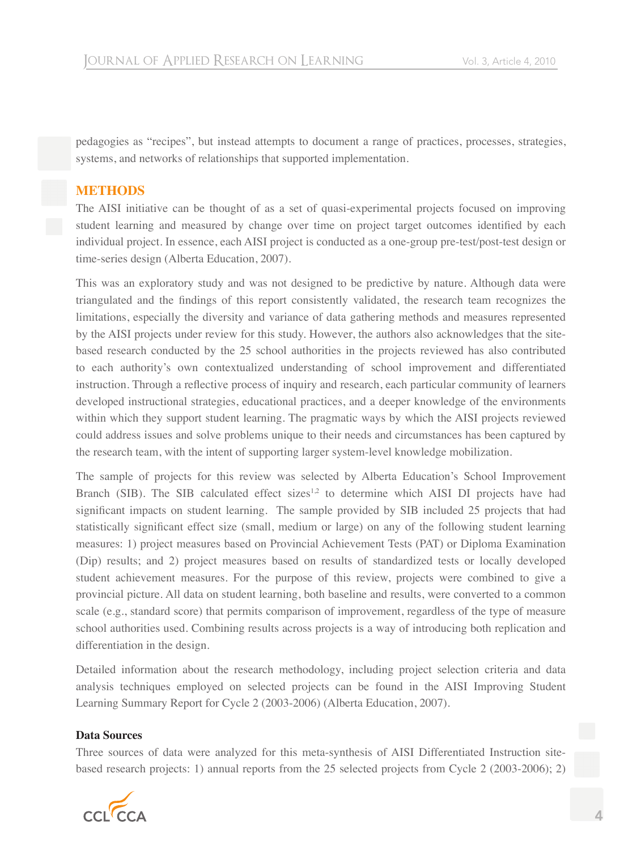pedagogies as "recipes", but instead attempts to document a range of practices, processes, strategies, systems, and networks of relationships that supported implementation.

# **METHODS**

The AISI initiative can be thought of as a set of quasi-experimental projects focused on improving student learning and measured by change over time on project target outcomes identified by each individual project. In essence, each AISI project is conducted as a one-group pre-test/post-test design or time-series design (Alberta Education, 2007).

This was an exploratory study and was not designed to be predictive by nature. Although data were triangulated and the findings of this report consistently validated, the research team recognizes the limitations, especially the diversity and variance of data gathering methods and measures represented by the AISI projects under review for this study. However, the authors also acknowledges that the sitebased research conducted by the 25 school authorities in the projects reviewed has also contributed to each authority's own contextualized understanding of school improvement and differentiated instruction. Through a reflective process of inquiry and research, each particular community of learners developed instructional strategies, educational practices, and a deeper knowledge of the environments within which they support student learning. The pragmatic ways by which the AISI projects reviewed could address issues and solve problems unique to their needs and circumstances has been captured by the research team, with the intent of supporting larger system-level knowledge mobilization.

The sample of projects for this review was selected by Alberta Education's School Improvement Branch (SIB). The SIB calculated effect sizes<sup>1,2</sup> to determine which AISI DI projects have had significant impacts on student learning. The sample provided by SIB included 25 projects that had statistically significant effect size (small, medium or large) on any of the following student learning measures: 1) project measures based on Provincial Achievement Tests (PAT) or Diploma Examination (Dip) results; and 2) project measures based on results of standardized tests or locally developed student achievement measures. For the purpose of this review, projects were combined to give a provincial picture. All data on student learning, both baseline and results, were converted to a common scale (e.g., standard score) that permits comparison of improvement, regardless of the type of measure school authorities used. Combining results across projects is a way of introducing both replication and differentiation in the design.

Detailed information about the research methodology, including project selection criteria and data analysis techniques employed on selected projects can be found in the AISI Improving Student Learning Summary Report for Cycle 2 (2003-2006) (Alberta Education, 2007).

#### **Data Sources**

Three sources of data were analyzed for this meta-synthesis of AISI Differentiated Instruction sitebased research projects: 1) annual reports from the 25 selected projects from Cycle 2 (2003-2006); 2)

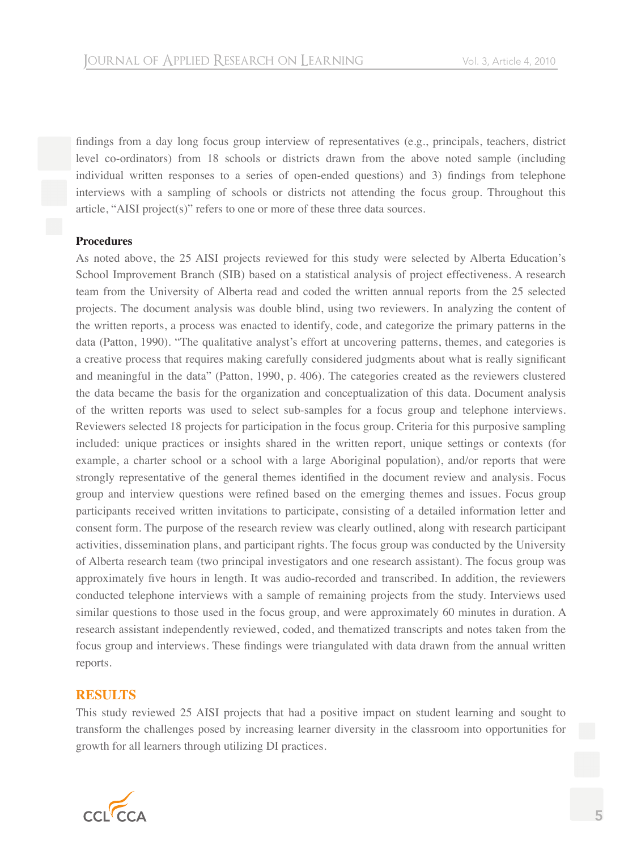findings from a day long focus group interview of representatives (e.g., principals, teachers, district level co-ordinators) from 18 schools or districts drawn from the above noted sample (including individual written responses to a series of open-ended questions) and 3) findings from telephone interviews with a sampling of schools or districts not attending the focus group. Throughout this article, "AISI project(s)" refers to one or more of these three data sources.

#### **Procedures**

As noted above, the 25 AISI projects reviewed for this study were selected by Alberta Education's School Improvement Branch (SIB) based on a statistical analysis of project effectiveness. A research team from the University of Alberta read and coded the written annual reports from the 25 selected projects. The document analysis was double blind, using two reviewers. In analyzing the content of the written reports, a process was enacted to identify, code, and categorize the primary patterns in the data (Patton, 1990). "The qualitative analyst's effort at uncovering patterns, themes, and categories is a creative process that requires making carefully considered judgments about what is really significant and meaningful in the data" (Patton, 1990, p. 406). The categories created as the reviewers clustered the data became the basis for the organization and conceptualization of this data. Document analysis of the written reports was used to select sub-samples for a focus group and telephone interviews. Reviewers selected 18 projects for participation in the focus group. Criteria for this purposive sampling included: unique practices or insights shared in the written report, unique settings or contexts (for example, a charter school or a school with a large Aboriginal population), and/or reports that were strongly representative of the general themes identified in the document review and analysis. Focus group and interview questions were refined based on the emerging themes and issues. Focus group participants received written invitations to participate, consisting of a detailed information letter and consent form. The purpose of the research review was clearly outlined, along with research participant activities, dissemination plans, and participant rights. The focus group was conducted by the University of Alberta research team (two principal investigators and one research assistant). The focus group was approximately five hours in length. It was audio-recorded and transcribed. In addition, the reviewers conducted telephone interviews with a sample of remaining projects from the study. Interviews used similar questions to those used in the focus group, and were approximately 60 minutes in duration. A research assistant independently reviewed, coded, and thematized transcripts and notes taken from the focus group and interviews. These findings were triangulated with data drawn from the annual written reports.

#### **RESULTS**

This study reviewed 25 AISI projects that had a positive impact on student learning and sought to transform the challenges posed by increasing learner diversity in the classroom into opportunities for growth for all learners through utilizing DI practices.

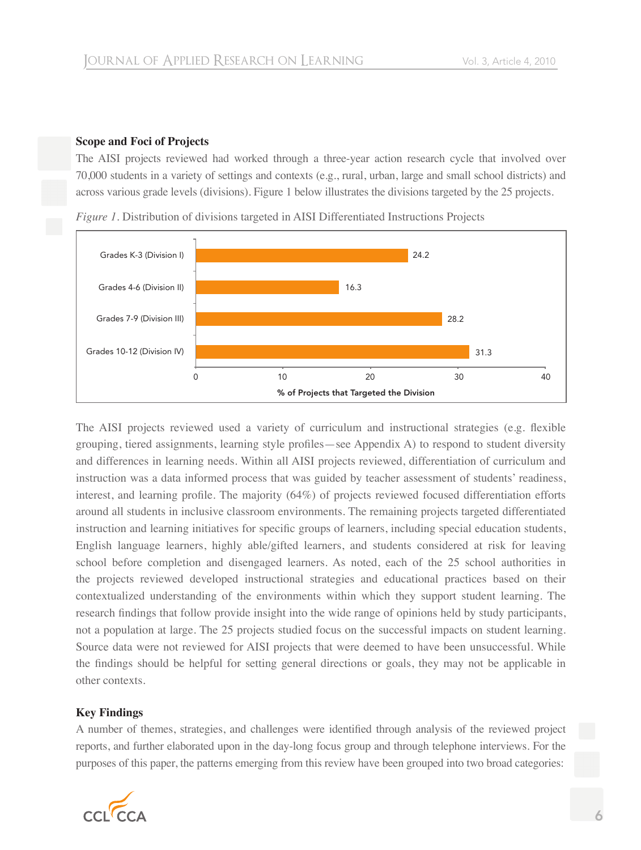# **Scope and Foci of Projects**

The AISI projects reviewed had worked through a three-year action research cycle that involved over 70,000 students in a variety of settings and contexts (e.g., rural, urban, large and small school districts) and across various grade levels (divisions). Figure 1 below illustrates the divisions targeted by the 25 projects.





The AISI projects reviewed used a variety of curriculum and instructional strategies (e.g. flexible grouping, tiered assignments, learning style profiles—see Appendix A) to respond to student diversity and differences in learning needs. Within all AISI projects reviewed, differentiation of curriculum and instruction was a data informed process that was guided by teacher assessment of students' readiness, interest, and learning profile. The majority  $(64%)$  of projects reviewed focused differentiation efforts around all students in inclusive classroom environments. The remaining projects targeted differentiated instruction and learning initiatives for specific groups of learners, including special education students, English language learners, highly able/gifted learners, and students considered at risk for leaving school before completion and disengaged learners. As noted, each of the 25 school authorities in the projects reviewed developed instructional strategies and educational practices based on their contextualized understanding of the environments within which they support student learning. The research findings that follow provide insight into the wide range of opinions held by study participants, not a population at large. The 25 projects studied focus on the successful impacts on student learning. Source data were not reviewed for AISI projects that were deemed to have been unsuccessful. While the findings should be helpful for setting general directions or goals, they may not be applicable in other contexts.

# **Key Findings**

A number of themes, strategies, and challenges were identified through analysis of the reviewed project reports, and further elaborated upon in the day-long focus group and through telephone interviews. For the purposes of this paper, the patterns emerging from this review have been grouped into two broad categories:

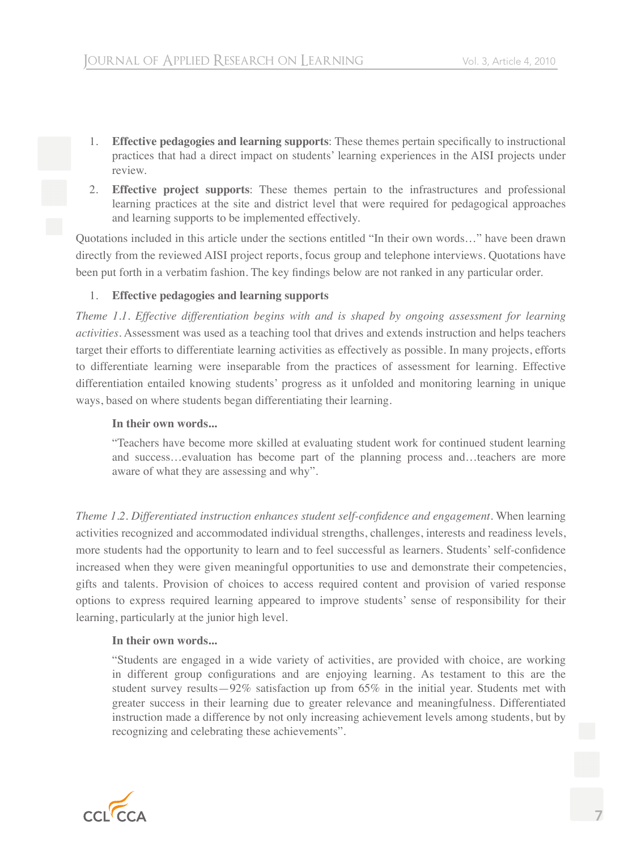- 1. **Effective pedagogies and learning supports**: These themes pertain specifically to instructional practices that had a direct impact on students' learning experiences in the AISI projects under review.
- 2. **Effective project supports**: These themes pertain to the infrastructures and professional learning practices at the site and district level that were required for pedagogical approaches and learning supports to be implemented effectively.

Quotations included in this article under the sections entitled "In their own words…" have been drawn directly from the reviewed AISI project reports, focus group and telephone interviews. Quotations have been put forth in a verbatim fashion. The key findings below are not ranked in any particular order.

### 1. **Effective pedagogies and learning supports**

*Theme 1.1. Effective differentiation begins with and is shaped by ongoing assessment for learning activities*. Assessment was used as a teaching tool that drives and extends instruction and helps teachers target their efforts to differentiate learning activities as effectively as possible. In many projects, efforts to differentiate learning were inseparable from the practices of assessment for learning. Effective differentiation entailed knowing students' progress as it unfolded and monitoring learning in unique ways, based on where students began differentiating their learning.

#### **In their own words...**

"Teachers have become more skilled at evaluating student work for continued student learning and success…evaluation has become part of the planning process and…teachers are more aware of what they are assessing and why".

*Theme 1.2. Differentiated instruction enhances student self-confidence and engagement*. When learning activities recognized and accommodated individual strengths, challenges, interests and readiness levels, more students had the opportunity to learn and to feel successful as learners. Students' self-confidence increased when they were given meaningful opportunities to use and demonstrate their competencies, gifts and talents. Provision of choices to access required content and provision of varied response options to express required learning appeared to improve students' sense of responsibility for their learning, particularly at the junior high level.

#### **In their own words...**

"Students are engaged in a wide variety of activities, are provided with choice, are working in different group configurations and are enjoying learning. As testament to this are the student survey results—92% satisfaction up from 65% in the initial year. Students met with greater success in their learning due to greater relevance and meaningfulness. Differentiated instruction made a difference by not only increasing achievement levels among students, but by recognizing and celebrating these achievements".

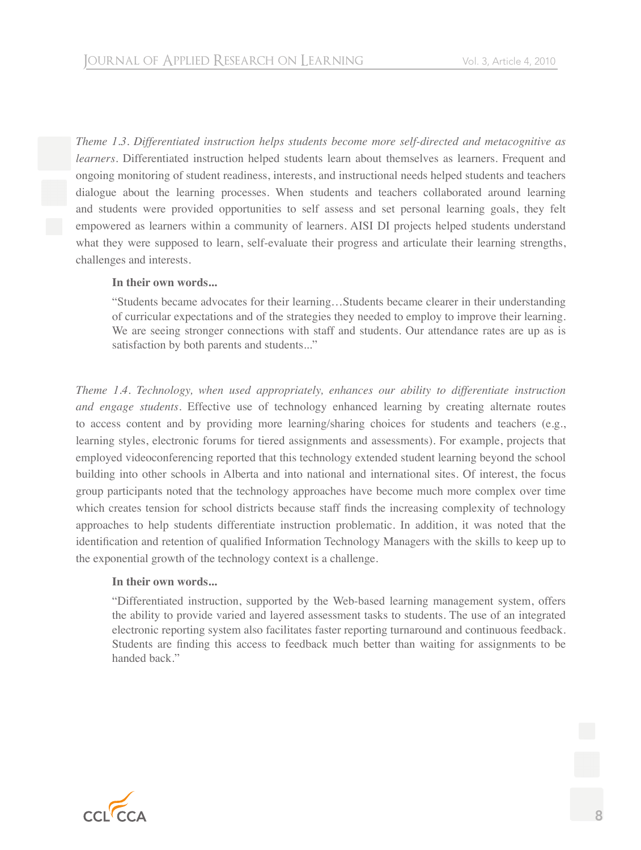*Theme 1.3. Differentiated instruction helps students become more self-directed and metacognitive as learners*. Differentiated instruction helped students learn about themselves as learners. Frequent and ongoing monitoring of student readiness, interests, and instructional needs helped students and teachers dialogue about the learning processes. When students and teachers collaborated around learning and students were provided opportunities to self assess and set personal learning goals, they felt empowered as learners within a community of learners. AISI DI projects helped students understand what they were supposed to learn, self-evaluate their progress and articulate their learning strengths, challenges and interests.

#### **In their own words...**

"Students became advocates for their learning…Students became clearer in their understanding of curricular expectations and of the strategies they needed to employ to improve their learning. We are seeing stronger connections with staff and students. Our attendance rates are up as is satisfaction by both parents and students..."

*Theme 1.4. Technology, when used appropriately, enhances our ability to differentiate instruction and engage students*. Effective use of technology enhanced learning by creating alternate routes to access content and by providing more learning/sharing choices for students and teachers (e.g., learning styles, electronic forums for tiered assignments and assessments). For example, projects that employed videoconferencing reported that this technology extended student learning beyond the school building into other schools in Alberta and into national and international sites. Of interest, the focus group participants noted that the technology approaches have become much more complex over time which creates tension for school districts because staff finds the increasing complexity of technology approaches to help students differentiate instruction problematic. In addition, it was noted that the identification and retention of qualified Information Technology Managers with the skills to keep up to the exponential growth of the technology context is a challenge.

#### **In their own words...**

"Differentiated instruction, supported by the Web-based learning management system, offers the ability to provide varied and layered assessment tasks to students. The use of an integrated electronic reporting system also facilitates faster reporting turnaround and continuous feedback. Students are finding this access to feedback much better than waiting for assignments to be handed back."

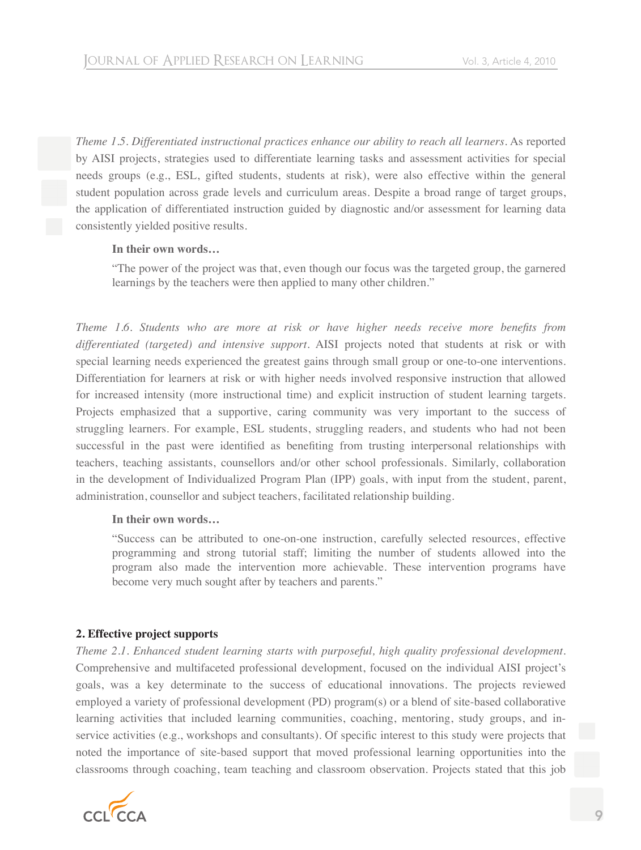*Theme 1.5. Differentiated instructional practices enhance our ability to reach all learners*. As reported by AISI projects, strategies used to differentiate learning tasks and assessment activities for special needs groups (e.g., ESL, gifted students, students at risk), were also effective within the general student population across grade levels and curriculum areas. Despite a broad range of target groups, the application of differentiated instruction guided by diagnostic and/or assessment for learning data consistently yielded positive results.

### **In their own words…**

"The power of the project was that, even though our focus was the targeted group, the garnered learnings by the teachers were then applied to many other children."

*Theme 1.6. Students who are more at risk or have higher needs receive more benefits from differentiated (targeted) and intensive support*. AISI projects noted that students at risk or with special learning needs experienced the greatest gains through small group or one-to-one interventions. Differentiation for learners at risk or with higher needs involved responsive instruction that allowed for increased intensity (more instructional time) and explicit instruction of student learning targets. Projects emphasized that a supportive, caring community was very important to the success of struggling learners. For example, ESL students, struggling readers, and students who had not been successful in the past were identified as benefiting from trusting interpersonal relationships with teachers, teaching assistants, counsellors and/or other school professionals. Similarly, collaboration in the development of Individualized Program Plan (IPP) goals, with input from the student, parent, administration, counsellor and subject teachers, facilitated relationship building.

#### **In their own words…**

"Success can be attributed to one-on-one instruction, carefully selected resources, effective programming and strong tutorial staff; limiting the number of students allowed into the program also made the intervention more achievable. These intervention programs have become very much sought after by teachers and parents."

# **2. Effective project supports**

*Theme 2.1. Enhanced student learning starts with purposeful, high quality professional development*. Comprehensive and multifaceted professional development, focused on the individual AISI project's goals, was a key determinate to the success of educational innovations. The projects reviewed employed a variety of professional development (PD) program(s) or a blend of site-based collaborative learning activities that included learning communities, coaching, mentoring, study groups, and inservice activities (e.g., workshops and consultants). Of specific interest to this study were projects that noted the importance of site-based support that moved professional learning opportunities into the classrooms through coaching, team teaching and classroom observation. Projects stated that this job

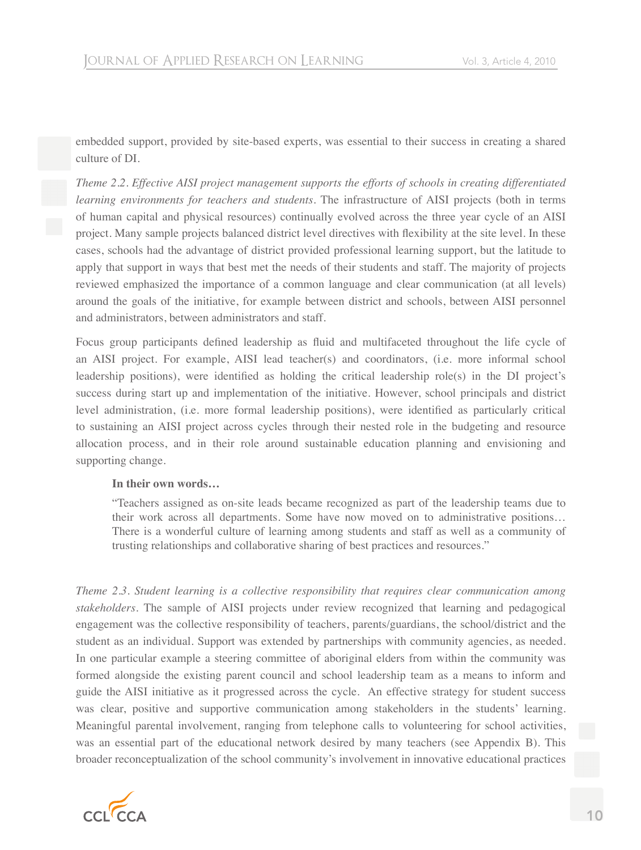embedded support, provided by site-based experts, was essential to their success in creating a shared culture of DI.

*Theme 2.2. Effective AISI project management supports the efforts of schools in creating differentiated learning environments for teachers and students*. The infrastructure of AISI projects (both in terms of human capital and physical resources) continually evolved across the three year cycle of an AISI project. Many sample projects balanced district level directives with flexibility at the site level. In these cases, schools had the advantage of district provided professional learning support, but the latitude to apply that support in ways that best met the needs of their students and staff. The majority of projects reviewed emphasized the importance of a common language and clear communication (at all levels) around the goals of the initiative, for example between district and schools, between AISI personnel and administrators, between administrators and staff.

Focus group participants defined leadership as fluid and multifaceted throughout the life cycle of an AISI project. For example, AISI lead teacher(s) and coordinators, (i.e. more informal school leadership positions), were identified as holding the critical leadership role(s) in the DI project's success during start up and implementation of the initiative. However, school principals and district level administration, (i.e. more formal leadership positions), were identified as particularly critical to sustaining an AISI project across cycles through their nested role in the budgeting and resource allocation process, and in their role around sustainable education planning and envisioning and supporting change.

#### **In their own words…**

"Teachers assigned as on-site leads became recognized as part of the leadership teams due to their work across all departments. Some have now moved on to administrative positions… There is a wonderful culture of learning among students and staff as well as a community of trusting relationships and collaborative sharing of best practices and resources."

*Theme 2.3. Student learning is a collective responsibility that requires clear communication among stakeholders*. The sample of AISI projects under review recognized that learning and pedagogical engagement was the collective responsibility of teachers, parents/guardians, the school/district and the student as an individual. Support was extended by partnerships with community agencies, as needed. In one particular example a steering committee of aboriginal elders from within the community was formed alongside the existing parent council and school leadership team as a means to inform and guide the AISI initiative as it progressed across the cycle. An effective strategy for student success was clear, positive and supportive communication among stakeholders in the students' learning. Meaningful parental involvement, ranging from telephone calls to volunteering for school activities, was an essential part of the educational network desired by many teachers (see Appendix B). This broader reconceptualization of the school community's involvement in innovative educational practices

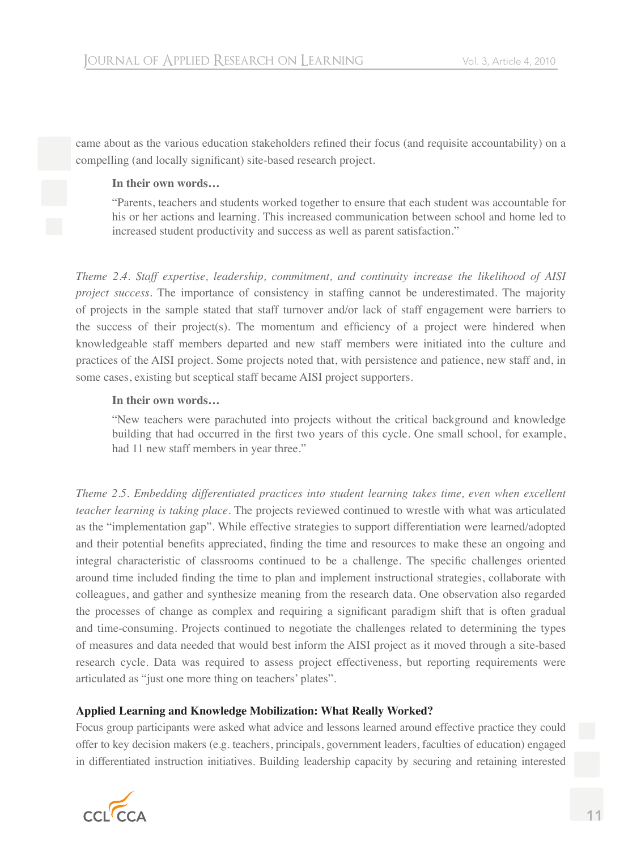came about as the various education stakeholders refined their focus (and requisite accountability) on a compelling (and locally significant) site-based research project.

#### **In their own words…**

"Parents, teachers and students worked together to ensure that each student was accountable for his or her actions and learning. This increased communication between school and home led to increased student productivity and success as well as parent satisfaction."

*Theme 2.4. Staff expertise, leadership, commitment, and continuity increase the likelihood of AISI project success*. The importance of consistency in staffing cannot be underestimated. The majority of projects in the sample stated that staff turnover and/or lack of staff engagement were barriers to the success of their project(s). The momentum and efficiency of a project were hindered when knowledgeable staff members departed and new staff members were initiated into the culture and practices of the AISI project. Some projects noted that, with persistence and patience, new staff and, in some cases, existing but sceptical staff became AISI project supporters.

#### **In their own words…**

"New teachers were parachuted into projects without the critical background and knowledge building that had occurred in the first two years of this cycle. One small school, for example, had 11 new staff members in year three."

*Theme 2.5. Embedding differentiated practices into student learning takes time, even when excellent teacher learning is taking place*. The projects reviewed continued to wrestle with what was articulated as the "implementation gap". While effective strategies to support differentiation were learned/adopted and their potential benefits appreciated, finding the time and resources to make these an ongoing and integral characteristic of classrooms continued to be a challenge. The specific challenges oriented around time included finding the time to plan and implement instructional strategies, collaborate with colleagues, and gather and synthesize meaning from the research data. One observation also regarded the processes of change as complex and requiring a significant paradigm shift that is often gradual and time-consuming. Projects continued to negotiate the challenges related to determining the types of measures and data needed that would best inform the AISI project as it moved through a site-based research cycle. Data was required to assess project effectiveness, but reporting requirements were articulated as "just one more thing on teachers' plates".

# **Applied Learning and Knowledge Mobilization: What Really Worked?**

Focus group participants were asked what advice and lessons learned around effective practice they could offer to key decision makers (e.g. teachers, principals, government leaders, faculties of education) engaged in differentiated instruction initiatives. Building leadership capacity by securing and retaining interested

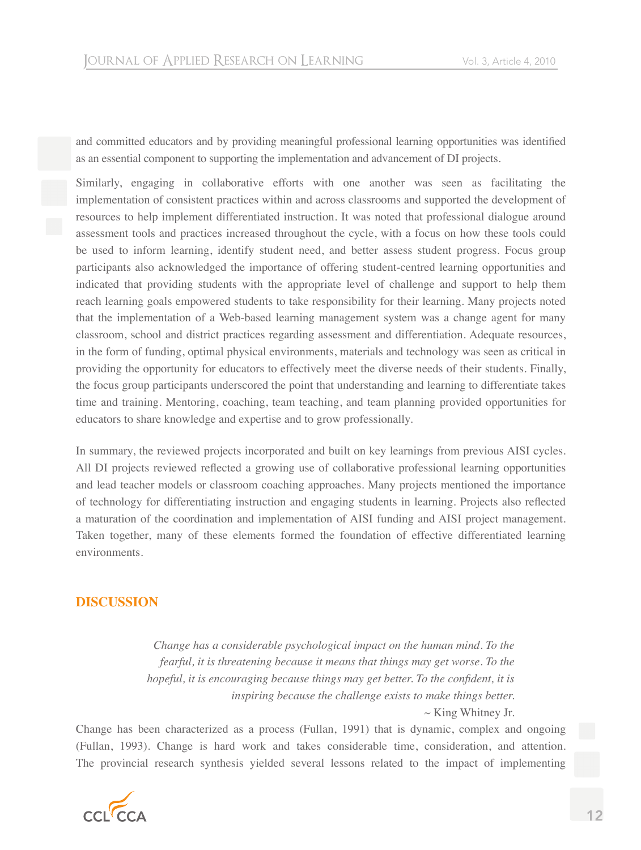and committed educators and by providing meaningful professional learning opportunities was identified as an essential component to supporting the implementation and advancement of DI projects.

Similarly, engaging in collaborative efforts with one another was seen as facilitating the implementation of consistent practices within and across classrooms and supported the development of resources to help implement differentiated instruction. It was noted that professional dialogue around assessment tools and practices increased throughout the cycle, with a focus on how these tools could be used to inform learning, identify student need, and better assess student progress. Focus group participants also acknowledged the importance of offering student-centred learning opportunities and indicated that providing students with the appropriate level of challenge and support to help them reach learning goals empowered students to take responsibility for their learning. Many projects noted that the implementation of a Web-based learning management system was a change agent for many classroom, school and district practices regarding assessment and differentiation. Adequate resources, in the form of funding, optimal physical environments, materials and technology was seen as critical in providing the opportunity for educators to effectively meet the diverse needs of their students. Finally, the focus group participants underscored the point that understanding and learning to differentiate takes time and training. Mentoring, coaching, team teaching, and team planning provided opportunities for educators to share knowledge and expertise and to grow professionally.

In summary, the reviewed projects incorporated and built on key learnings from previous AISI cycles. All DI projects reviewed reflected a growing use of collaborative professional learning opportunities and lead teacher models or classroom coaching approaches. Many projects mentioned the importance of technology for differentiating instruction and engaging students in learning. Projects also reflected a maturation of the coordination and implementation of AISI funding and AISI project management. Taken together, many of these elements formed the foundation of effective differentiated learning environments.

# **DISCUSSION**

*Change has a considerable psychological impact on the human mind. To the fearful, it is threatening because it means that things may get worse. To the hopeful, it is encouraging because things may get better. To the confident, it is inspiring because the challenge exists to make things better.* 

 $\sim$  King Whitney Jr.

Change has been characterized as a process (Fullan, 1991) that is dynamic, complex and ongoing (Fullan, 1993). Change is hard work and takes considerable time, consideration, and attention. The provincial research synthesis yielded several lessons related to the impact of implementing

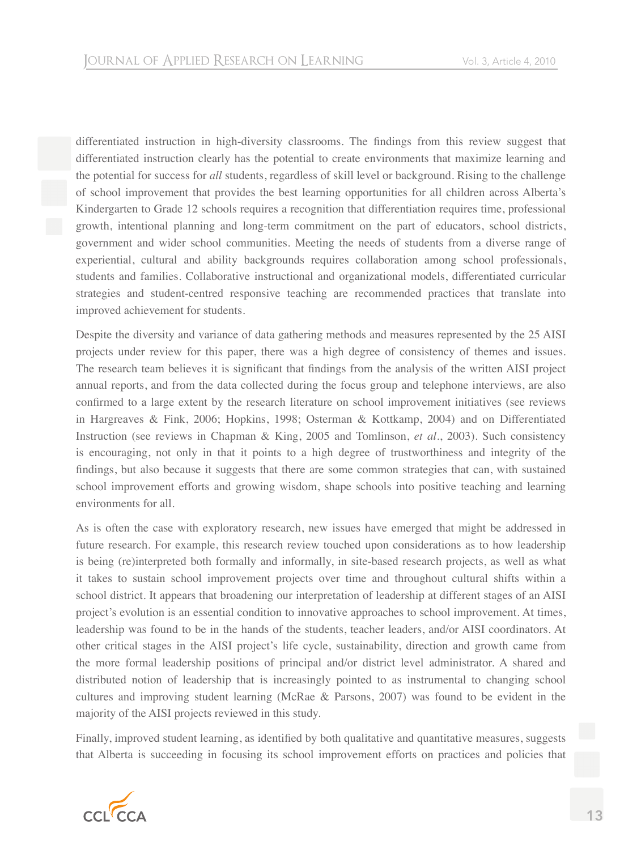differentiated instruction in high-diversity classrooms. The findings from this review suggest that differentiated instruction clearly has the potential to create environments that maximize learning and the potential for success for *all* students, regardless of skill level or background. Rising to the challenge of school improvement that provides the best learning opportunities for all children across Alberta's Kindergarten to Grade 12 schools requires a recognition that differentiation requires time, professional growth, intentional planning and long-term commitment on the part of educators, school districts, government and wider school communities. Meeting the needs of students from a diverse range of experiential, cultural and ability backgrounds requires collaboration among school professionals, students and families. Collaborative instructional and organizational models, differentiated curricular strategies and student-centred responsive teaching are recommended practices that translate into improved achievement for students.

Despite the diversity and variance of data gathering methods and measures represented by the 25 AISI projects under review for this paper, there was a high degree of consistency of themes and issues. The research team believes it is significant that findings from the analysis of the written AISI project annual reports, and from the data collected during the focus group and telephone interviews, are also confirmed to a large extent by the research literature on school improvement initiatives (see reviews in Hargreaves & Fink, 2006; Hopkins, 1998; Osterman & Kottkamp, 2004) and on Differentiated Instruction (see reviews in Chapman & King, 2005 and Tomlinson, *et al*., 2003). Such consistency is encouraging, not only in that it points to a high degree of trustworthiness and integrity of the findings, but also because it suggests that there are some common strategies that can, with sustained school improvement efforts and growing wisdom, shape schools into positive teaching and learning environments for all.

As is often the case with exploratory research, new issues have emerged that might be addressed in future research. For example, this research review touched upon considerations as to how leadership is being (re)interpreted both formally and informally, in site-based research projects, as well as what it takes to sustain school improvement projects over time and throughout cultural shifts within a school district. It appears that broadening our interpretation of leadership at different stages of an AISI project's evolution is an essential condition to innovative approaches to school improvement. At times, leadership was found to be in the hands of the students, teacher leaders, and/or AISI coordinators. At other critical stages in the AISI project's life cycle, sustainability, direction and growth came from the more formal leadership positions of principal and/or district level administrator. A shared and distributed notion of leadership that is increasingly pointed to as instrumental to changing school cultures and improving student learning (McRae & Parsons, 2007) was found to be evident in the majority of the AISI projects reviewed in this study.

Finally, improved student learning, as identified by both qualitative and quantitative measures, suggests that Alberta is succeeding in focusing its school improvement efforts on practices and policies that

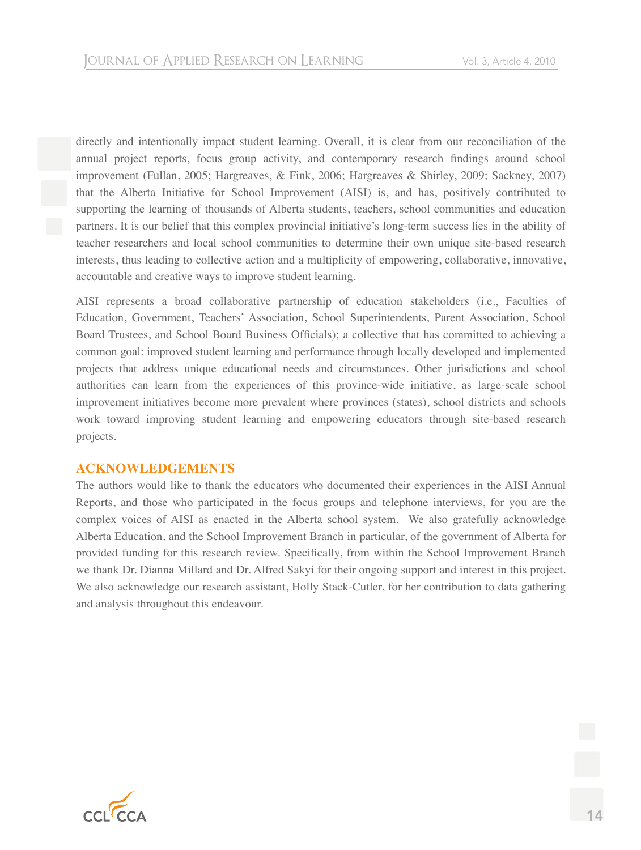directly and intentionally impact student learning. Overall, it is clear from our reconciliation of the annual project reports, focus group activity, and contemporary research findings around school improvement (Fullan, 2005; Hargreaves, & Fink, 2006; Hargreaves & Shirley, 2009; Sackney, 2007) that the Alberta Initiative for School Improvement (AISI) is, and has, positively contributed to supporting the learning of thousands of Alberta students, teachers, school communities and education partners. It is our belief that this complex provincial initiative's long-term success lies in the ability of teacher researchers and local school communities to determine their own unique site-based research interests, thus leading to collective action and a multiplicity of empowering, collaborative, innovative, accountable and creative ways to improve student learning.

AISI represents a broad collaborative partnership of education stakeholders (i.e., Faculties of Education, Government, Teachers' Association, School Superintendents, Parent Association, School Board Trustees, and School Board Business Officials); a collective that has committed to achieving a common goal: improved student learning and performance through locally developed and implemented projects that address unique educational needs and circumstances. Other jurisdictions and school authorities can learn from the experiences of this province-wide initiative, as large-scale school improvement initiatives become more prevalent where provinces (states), school districts and schools work toward improving student learning and empowering educators through site-based research projects.

# **ACKNOWLEDGEMENTS**

The authors would like to thank the educators who documented their experiences in the AISI Annual Reports, and those who participated in the focus groups and telephone interviews, for you are the complex voices of AISI as enacted in the Alberta school system. We also gratefully acknowledge Alberta Education, and the School Improvement Branch in particular, of the government of Alberta for provided funding for this research review. Specifically, from within the School Improvement Branch we thank Dr. Dianna Millard and Dr. Alfred Sakyi for their ongoing support and interest in this project. We also acknowledge our research assistant, Holly Stack-Cutler, for her contribution to data gathering and analysis throughout this endeavour.

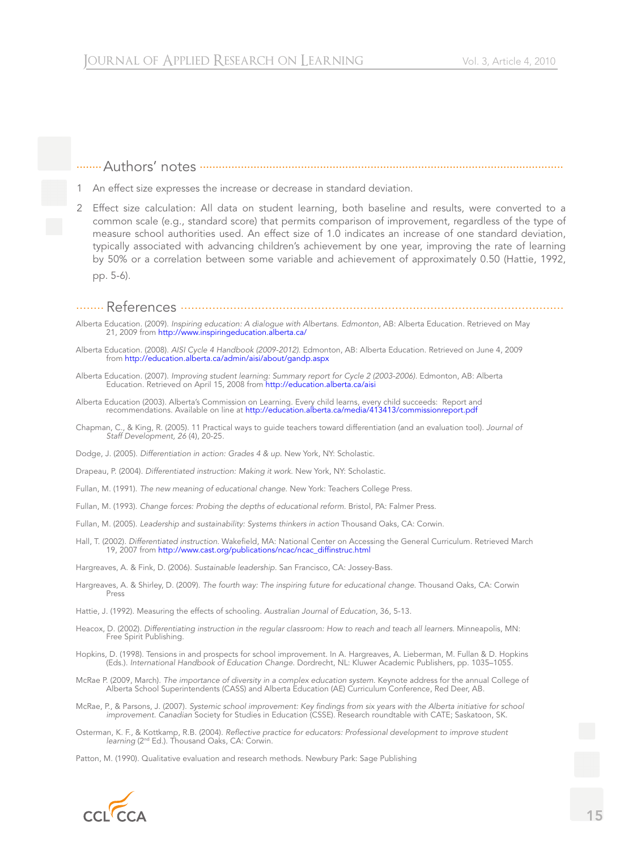#### ........Authors' notes ...................................................................................................................

- 1 An effect size expresses the increase or decrease in standard deviation.
- 2 Effect size calculation: All data on student learning, both baseline and results, were converted to a common scale (e.g., standard score) that permits comparison of improvement, regardless of the type of measure school authorities used. An effect size of 1.0 indicates an increase of one standard deviation, typically associated with advancing children's achievement by one year, improving the rate of learning by 50% or a correlation between some variable and achievement of approximately 0.50 (Hattie, 1992, pp. 5-6).
- ........ References .............................................................................................................
- Alberta Education. (2009). *Inspiring education: A dialogue with Albertans. Edmonton*, AB: Alberta Education. Retrieved on May 21, 2009 from http://www.inspiringeducation.alberta.ca/
- Alberta Education. (2008). *AISI Cycle 4 Handbook (2009-2012).* Edmonton, AB: Alberta Education. Retrieved on June 4, 2009 from http://education.alberta.ca/admin/aisi/about/gandp.aspx
- Alberta Education. (2007). *Improving student learning: Summary report for Cycle 2 (2003-2006).* Edmonton, AB: Alberta Education. Retrieved on April 15, 2008 from http://education.alberta.ca/aisi
- Alberta Education (2003). Alberta's Commission on Learning. Every child learns, every child succeeds: Report and recommendations. Available on line at http://education.alberta.ca/media/413413/commissionreport.pdf
- Chapman, C., & King, R. (2005). 11 Practical ways to guide teachers toward differentiation (and an evaluation tool). *Journal of Staff Development, 26* (4), 20-25.
- Dodge, J. (2005). *Differentiation in action: Grades 4 & up*. New York, NY: Scholastic.
- Drapeau, P. (2004). *Differentiated instruction: Making it work*. New York, NY: Scholastic.
- Fullan, M. (1991). *The new meaning of educational change*. New York: Teachers College Press.
- Fullan, M. (1993). *Change forces: Probing the depths of educational reform*. Bristol, PA: Falmer Press.
- Fullan, M. (2005). *Leadership and sustainability: Systems thinkers in action* Thousand Oaks, CA: Corwin.
- Hall, T. (2002). *Differentiated instruction*. Wakefield, MA: National Center on Accessing the General Curriculum. Retrieved March 19, 2007 from http://www.cast.org/publications/ncac/ncac\_diffinstruc.html
- Hargreaves, A. & Fink, D. (2006). *Sustainable leadership*. San Francisco, CA: Jossey-Bass.
- Hargreaves, A. & Shirley, D. (2009). *The fourth way: The inspiring future for educational change*. Thousand Oaks, CA: Corwin Press
- Hattie, J. (1992). Measuring the effects of schooling. *Australian Journal of Education*, 36, 5-13.
- Heacox, D. (2002). *Differentiating instruction in the regular classroom: How to reach and teach all learners*. Minneapolis, MN: Free Spirit Publishing.
- Hopkins, D. (1998). Tensions in and prospects for school improvement. In A. Hargreaves, A. Lieberman, M. Fullan & D. Hopkins (Eds.). *International Handbook of Education Change*. Dordrecht, NL: Kluwer Academic Publishers, pp. 1035–1055.
- McRae P. (2009, March). *The importance of diversity in a complex education system*. Keynote address for the annual College of Alberta School Superintendents (CASS) and Alberta Education (AE) Curriculum Conference, Red Deer, AB.
- McRae, P., & Parsons, J. (2007). Systemic school improvement: Key findings from six years with the Alberta initiative for school *improvement. Canadian* Society for Studies in Education (CSSE). Research roundtable with CATE; Saskatoon, SK.
- Osterman, K. F., & Kottkamp, R.B. (2004). *Reflective practice for educators: Professional development to improve student learning* (2nd Ed.). Thousand Oaks, CA: Corwin.

Patton, M. (1990). Qualitative evaluation and research methods. Newbury Park: Sage Publishing

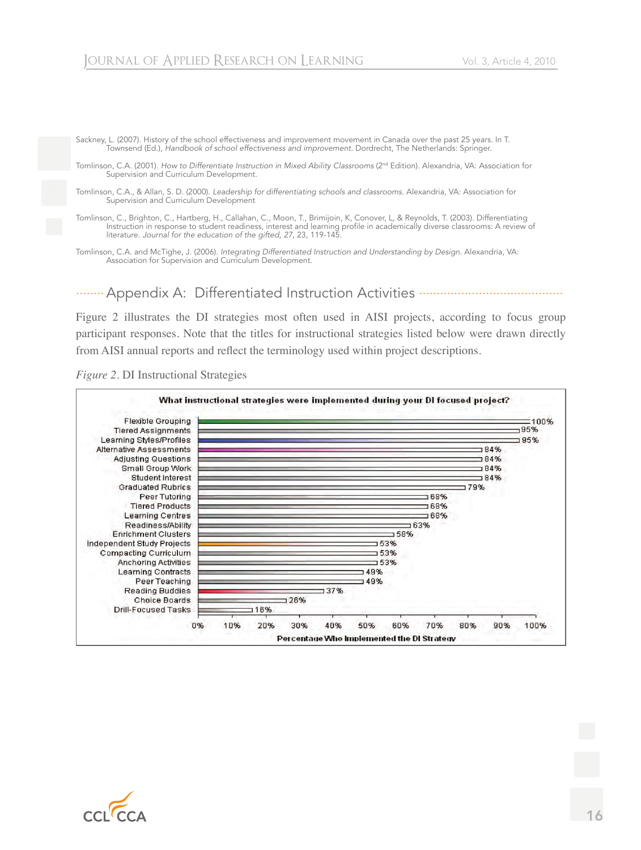Sackney, L. (2007). History of the school effectiveness and improvement movement in Canada over the past 25 years. In T. Townsend (Ed.), *Handbook of school effectiveness and improvement*. Dordrecht, The Netherlands: Springer.

Tomlinson, C.A. (2001). How to Differentiate Instruction in Mixed Ability Classrooms (2<sup>nd</sup> Edition). Alexandria, VA: Association for Supervision and Curriculum Development.

Tomlinson, C.A., & Allan, S. D. (2000). *Leadership for differentiating schools and classrooms*. Alexandria, VA: Association for Supervision and Curriculum Development

Tomlinson, C., Brighton, C., Hartberg, H., Callahan, C., Moon, T., Brimijoin, K, Conover, L, & Reynolds, T. (2003). Differentiating Instruction in response to student readiness, interest and learning profile in academically diverse classrooms: A review of literature. *Journal for the education of the gifted, 27*, 23, 119-145.

Tomlinson, C.A. and McTighe, J. (2006). *Integrating Differentiated Instruction and Understanding by Design*. Alexandria, VA: Association for Supervision and Curriculum Development.

........Appendix A: Differentiated Instruction Activities .........................................

Figure 2 illustrates the DI strategies most often used in AISI projects, according to focus group participant responses. Note that the titles for instructional strategies listed below were drawn directly from AISI annual reports and reflect the terminology used within project descriptions.

#### *Figure 2*. DI Instructional Strategies



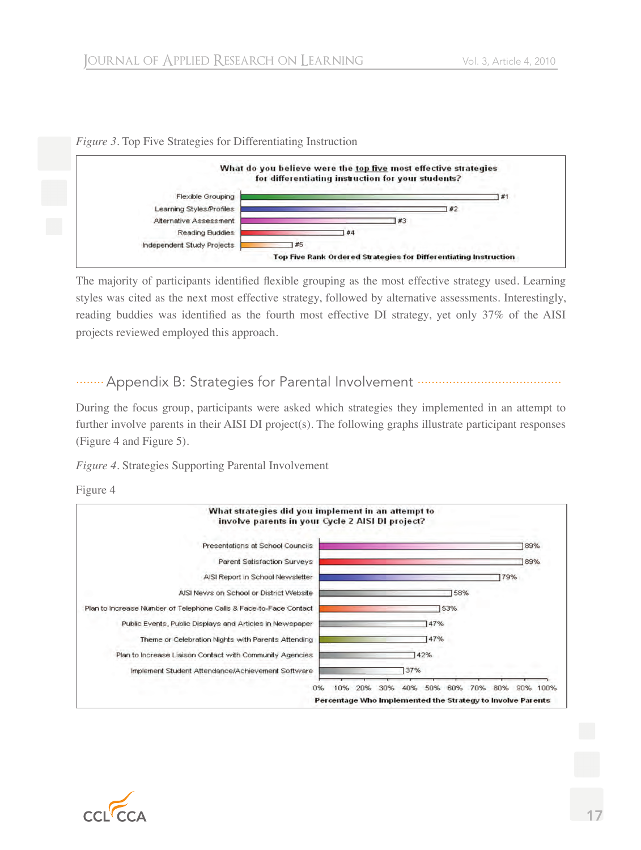

#### *Figure 3*. Top Five Strategies for Differentiating Instruction

The majority of participants identified flexible grouping as the most effective strategy used. Learning styles was cited as the next most effective strategy, followed by alternative assessments. Interestingly, reading buddies was identified as the fourth most effective DI strategy, yet only 37% of the AISI projects reviewed employed this approach.

# ........Appendix B: Strategies for Parental Involvement .........................................

During the focus group, participants were asked which strategies they implemented in an attempt to further involve parents in their AISI DI project(s). The following graphs illustrate participant responses (Figure 4 and Figure 5).

*Figure 4*. Strategies Supporting Parental Involvement

Figure 4